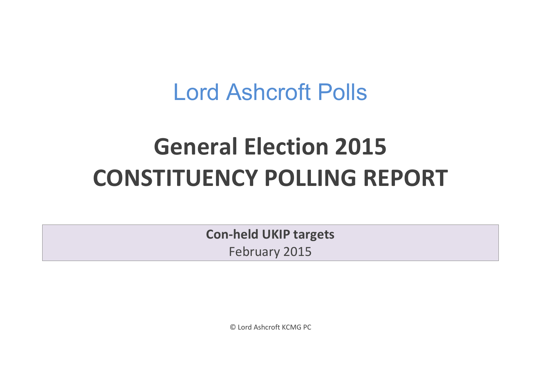## Lord Ashcroft Polls

# **General Election 2015 CONSTITUENCY POLLING REPORT**

**Con-held UKIP targets** February 2015

© Lord Ashcroft KCMG PC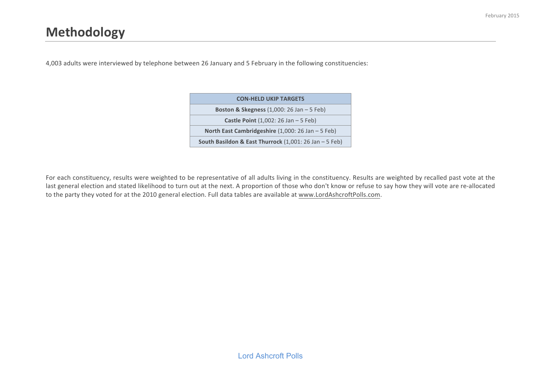4,003 adults were interviewed by telephone between 26 January and 5 February in the following constituencies:

| <b>CON-HELD UKIP TARGETS</b>                                            |
|-------------------------------------------------------------------------|
| <b>Boston &amp; Skegness</b> $(1,000: 26 \text{ Jan} - 5 \text{ Feb})$  |
| <b>Castle Point</b> $(1,002:26 \text{ Jan } -5 \text{ Feb})$            |
| North East Cambridgeshire $(1,000:26 \text{ Jan } -5 \text{ Feb})$      |
| South Basildon & East Thurrock $(1,001:26 \text{ Jan } -5 \text{ Feb})$ |

For each constituency, results were weighted to be representative of all adults living in the constituency. Results are weighted by recalled past vote at the last general election and stated likelihood to turn out at the next. A proportion of those who don't know or refuse to say how they will vote are re-allocated to the party they voted for at the 2010 general election. Full data tables are available at www.LordAshcroftPolls.com.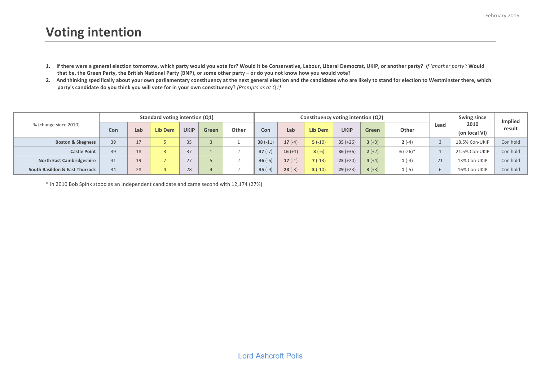- 1. If there were a general election tomorrow, which party would you vote for? Would it be Conservative, Labour, Liberal Democrat, UKIP, or another party? If 'another party': Would that be, the Green Party, the British National Party (BNP), or some other party – or do you not know how you would vote?
- 2. And thinking specifically about your own parliamentary constituency at the next general election and the candidates who are likely to stand for election to Westminster there, which **party's candidate do you think you will vote for in your own constituency?** *[Prompts as at Q1]*

|                                  |     |     | Standard voting intention (Q1) |             |              |       |           |           | Constituency voting intention (Q2) |             |          |            |      | Swing since           | Implied  |
|----------------------------------|-----|-----|--------------------------------|-------------|--------------|-------|-----------|-----------|------------------------------------|-------------|----------|------------|------|-----------------------|----------|
| % (change since 2010)            | Con | Lab | Lib Dem                        | <b>UKIP</b> | <b>Green</b> | Other | Con       | Lab       | <b>Lib Dem</b>                     | <b>UKIP</b> | Green    | Other      | Lead | 2010<br>(on local VI) | result   |
| <b>Boston &amp; Skegness</b>     | 39  | 17  |                                | 35          |              |       | $38(-11)$ | $17(-4)$  | $5(-10)$                           | $35 (+26)$  | $3 (+3)$ | $2(-4)$    |      | 18.5% Con-UKIP        | Con hold |
| <b>Castle Point</b>              | 39  | 18  |                                | 37          |              |       | $37(-7)$  | $16 (+1)$ | $3(-6)$                            | $36 (+36)$  | $2 (+2)$ | $6(-26)$ * |      | 21.5% Con-UKIP        | Con hold |
| <b>North East Cambridgeshire</b> | 41  | 19  |                                | 27          |              |       | $46(-6)$  | $17(-1)$  | $7(-13)$                           | $25 (+20)$  | $4 (+4)$ | $1(-4)$    | 21   | 13% Con-UKIP          | Con hold |
| South Basildon & East Thurrock   | 34  | 28  |                                | 28          |              |       | $35(-9)$  | $28(-3)$  | $3(-10)$                           | $29 (+23)$  | $3 (+3)$ | $1(-5)$    |      | 16% Con-UKIP          | Con hold |

\* in 2010 Bob Spink stood as an Independent candidate and came second with 12,174 (27%)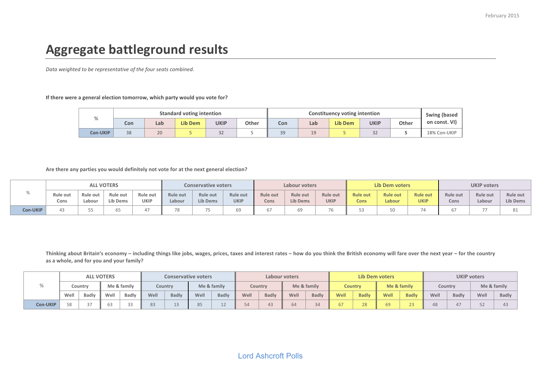## **Aggregate battleground results**

Data weighted to be representative of the four seats combined.

#### If there were a general election tomorrow, which party would you vote for?

| $\Omega$      |     |     | <b>Standard voting intention</b> |                     |       |     |                         | Constituency voting intention |             |       | Swing (based  |
|---------------|-----|-----|----------------------------------|---------------------|-------|-----|-------------------------|-------------------------------|-------------|-------|---------------|
| $\prime\circ$ | Con | Lab | <b>Lib Dem</b>                   | <b>UKIP</b>         | Other | Con | Lab                     | <b>Lib Dem</b>                | <b>UKIP</b> | Other | on const. VI) |
| Con-UKIP      | 38  | 20  |                                  | $\sim$ $\sim$<br>32 |       | 39  | 1 <sub>0</sub><br>ب باد |                               | 32          |       | 18% Con-UKIP  |

Are there any parties you would definitely not vote for at the next general election?

|                 |                         |                    | <b>ALL VOTERS</b>    |                         |                    | <b>Conservative voters</b>         |                         | Labour voters           |                                    |                         |                         | <b>Lib Dem voters</b>     |                                | <b>UKIP voters</b> |                           |                      |  |
|-----------------|-------------------------|--------------------|----------------------|-------------------------|--------------------|------------------------------------|-------------------------|-------------------------|------------------------------------|-------------------------|-------------------------|---------------------------|--------------------------------|--------------------|---------------------------|----------------------|--|
| 70              | <b>Rule out</b><br>Cons | Rule out<br>Labour | Rule out<br>Lib Dems | Rule out<br><b>UKIP</b> | Rule out<br>Labour | <b>Rule out</b><br><b>Lib Dems</b> | Rule out<br><b>UKIP</b> | <b>Rule out</b><br>Cons | <b>Rule out</b><br><b>Lib Dems</b> | Rule out<br><b>UKIP</b> | <b>Rule out</b><br>Cons | <b>Rule out</b><br>Labour | <b>Rule out</b><br><b>UKIP</b> | Rule out<br>Cons   | <b>Rule out</b><br>Labour | Rule out<br>Lib Dems |  |
| <b>Con-UKIP</b> |                         |                    | υJ                   |                         |                    | $\overline{\phantom{a}}$<br>1 L    |                         |                         | 69                                 |                         | ں ر                     |                           | 74                             |                    |                           | oт                   |  |

Thinking about Britain's economy – including things like jobs, wages, prices, taxes and interest rates – how do you think the British economy will fare over the next year – for the country as a whole, and for you and your family?

|          |                |         | <b>ALL VOTERS</b> |             |      |              | <b>Conservative voters</b><br>Labour voters |              |      |              |      |              |      | Lib Dem voters |      |              | <b>UKIP voters</b> |              |      |              |
|----------|----------------|---------|-------------------|-------------|------|--------------|---------------------------------------------|--------------|------|--------------|------|--------------|------|----------------|------|--------------|--------------------|--------------|------|--------------|
|          |                | Countrv |                   | Me & family |      | Country      |                                             | Me & family  |      | Country      |      | Me & family  |      | <b>Country</b> |      | Me & family  |                    | Country      |      | Me & family  |
|          | Well           | Badly   | Well              | Badly       | Well | <b>Badly</b> | Well                                        | <b>Badly</b> | Well | <b>Badly</b> | Well | <b>Badly</b> | Well | <b>Badly</b>   | Well | <b>Badly</b> | Well               | <b>Badly</b> | Well | <b>Badly</b> |
| Con-UKIP | C <sub>o</sub> |         |                   | $\sim$      |      |              |                                             | ᅩ            | 74   |              |      | $\sim$       |      | 28             |      | ر ے          | 48                 |              |      |              |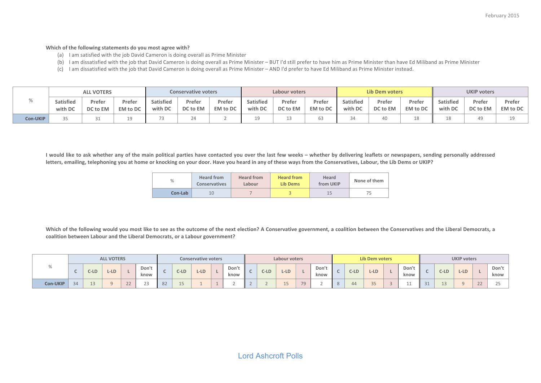#### Which of the following statements do you most agree with?

- (a) I am satisfied with the job David Cameron is doing overall as Prime Minister
- (b) I am dissatisfied with the job that David Cameron is doing overall as Prime Minister BUT I'd still prefer to have him as Prime Minister than have Ed Miliband as Prime Minister
- (c) I am dissatisfied with the job that David Cameron is doing overall as Prime Minister AND I'd prefer to have Ed Miliband as Prime Minister instead.

|          |                  | <b>ALL VOTERS</b> |                 |           | <b>Conservative voters</b> |          | Labour voters    |          |          |                  | <b>Lib Dem voters</b> |                 | <b>UKIP voters</b> |          |          |  |
|----------|------------------|-------------------|-----------------|-----------|----------------------------|----------|------------------|----------|----------|------------------|-----------------------|-----------------|--------------------|----------|----------|--|
|          | <b>Satisfied</b> | Prefer            | Prefer          | Satisfied | Prefer                     | Prefer   | <b>Satisfied</b> | Prefer   | Prefer   | <b>Satisfied</b> | Prefer                | Prefer          | <b>Satisfied</b>   | Prefer   | Prefer   |  |
|          | with DC          | DC to EM          | <b>EM</b> to DC | with DC   | DC to EM                   | EM to DC | with DC          | DC to EM | EM to DC | with DC          | DC to EM              | <b>EM</b> to DC | with DC            | DC to EM | EM to DC |  |
| Con-UKIP |                  |                   |                 |           | 24                         |          |                  |          |          |                  |                       |                 |                    |          |          |  |

I would like to ask whether any of the main political parties have contacted you over the last few weeks – whether by delivering leaflets or newspapers, sending personally addressed letters, emailing, telephoning you at home or knocking on your door. Have you heard in any of these ways from the Conservatives, Labour, the Lib Dems or UKIP?

| %       | <b>Heard from</b><br><b>Conservatives</b> | <b>Heard from</b><br>Labour | <b>Heard from</b><br><b>Lib Dems</b> | Heard<br>from UKIP | None of them |
|---------|-------------------------------------------|-----------------------------|--------------------------------------|--------------------|--------------|
| Con-Lab | 10                                        |                             |                                      | 15                 |              |

Which of the following would you most like to see as the outcome of the next election? A Conservative government, a coalition between the Conservatives and the Liberal Democrats, a coalition between Labour and the Liberal Democrats, or a Labour government?

|          |    |        | <b>ALL VOTERS</b> |               |               |               |        | <b>Conservative voters</b> |  |               | Labour voters |        |        | Lib Dem voters           |              |         |        |        | <b>UKIP voters</b> |             |                           |        |        |              |               |
|----------|----|--------|-------------------|---------------|---------------|---------------|--------|----------------------------|--|---------------|---------------|--------|--------|--------------------------|--------------|---------|--------|--------|--------------------|-------------|---------------------------|--------|--------|--------------|---------------|
| %        |    | $C-LD$ | $L$ -LD           |               | Don't<br>know |               | $C-LD$ | $L-LD$                     |  | Don't<br>know |               | $C-LD$ | $L-LD$ |                          | Don'<br>know |         | $C-LD$ | $L-LD$ |                    | Don<br>know |                           | $C-LD$ | $L-LD$ |              | Don't<br>know |
| Con-UKIP | 34 |        |                   | $\sim$ $\sim$ | $\sim$        | $\cap$<br>OZ. | ᆠ      |                            |  |               |               |        | ᆠ      | $\overline{\phantom{0}}$ |              | $\circ$ |        | --     |                    | --          | $\bigcap$ $\bigcap$<br>ᇰᆂ | ه ماه  |        | $\sim$<br>22 |               |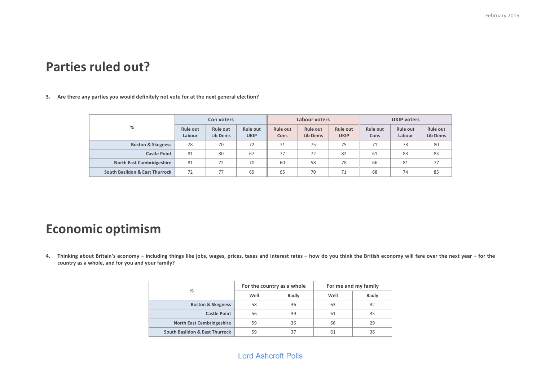### **Parties ruled out?**

#### 3. Are there any parties you would definitely not vote for at the next general election?

|                                  |                           | Con voters                  |                         |                  | Labour voters               |                                |                         | <b>UKIP voters</b> |                             |
|----------------------------------|---------------------------|-----------------------------|-------------------------|------------------|-----------------------------|--------------------------------|-------------------------|--------------------|-----------------------------|
| %                                | <b>Rule out</b><br>Labour | <b>Rule out</b><br>Lib Dems | Rule out<br><b>UKIP</b> | Rule out<br>Cons | <b>Rule out</b><br>Lib Dems | <b>Rule out</b><br><b>UKIP</b> | <b>Rule out</b><br>Cons | Rule out<br>Labour | Rule out<br><b>Lib Dems</b> |
| <b>Boston &amp; Skegness</b>     | 78                        | 70                          | 72                      | 71               | 75                          | 75                             | 71                      | 73                 | 80                          |
| <b>Castle Point</b>              | 81                        | 80                          | 67                      | 77               | 72                          | 82                             | 61                      | 83                 | 83                          |
| <b>North East Cambridgeshire</b> | 81                        | 72                          | 70                      | 60               | 58                          | 78                             | 66                      | 81                 | 77                          |
| South Basildon & East Thurrock   | 72                        | 77                          | 69                      | 65               | 70                          | 71                             | 68                      | 74                 | 85                          |

### **Economic optimism**

4. Thinking about Britain's economy – including things like jobs, wages, prices, taxes and interest rates – how do you think the British economy will fare over the next year – for the country as a whole, and for you and your family?

| %                                |      | For the country as a whole |      | For me and my family |
|----------------------------------|------|----------------------------|------|----------------------|
|                                  | Well | <b>Badly</b>               | Well | <b>Badly</b>         |
| <b>Boston &amp; Skegness</b>     | 58   | 36                         | 63   | 32                   |
| <b>Castle Point</b>              | 56   | 39                         | 61   | 35                   |
| <b>North East Cambridgeshire</b> | 59   | 36                         | 66   | 29                   |
| South Basildon & East Thurrock   | 59   | 37                         | 61   | 36                   |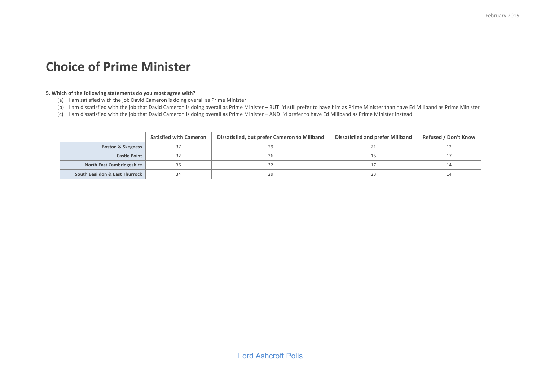#### **Choice of Prime Minister**

#### **5. Which of the following statements do you most agree with?**

- (a) I am satisfied with the job David Cameron is doing overall as Prime Minister
- (b) I am dissatisfied with the job that David Cameron is doing overall as Prime Minister BUT I'd still prefer to have him as Prime Minister than have Ed Miliband as Prime Minister
- (c) I am dissatisfied with the job that David Cameron is doing overall as Prime Minister AND I'd prefer to have Ed Miliband as Prime Minister instead.

|                                  | <b>Satisfied with Cameron</b> | Dissatisfied, but prefer Cameron to Miliband | Dissatisfied and prefer Miliband | <b>Refused / Don't Know</b> |
|----------------------------------|-------------------------------|----------------------------------------------|----------------------------------|-----------------------------|
| <b>Boston &amp; Skegness</b>     |                               |                                              |                                  |                             |
| <b>Castle Point</b>              |                               |                                              |                                  |                             |
| <b>North East Cambridgeshire</b> |                               |                                              |                                  |                             |
| South Basildon & East Thurrock   |                               |                                              |                                  |                             |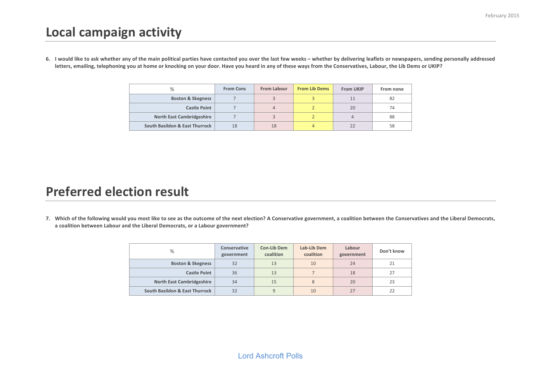## **Local campaign activity**

6. I would like to ask whether any of the main political parties have contacted you over the last few weeks – whether by delivering leaflets or newspapers, sending personally addressed letters, emailing, telephoning you at home or knocking on your door. Have you heard in any of these ways from the Conservatives, Labour, the Lib Dems or UKIP?

| %                                | <b>From Cons</b> | <b>From Labour</b> | <b>From Lib Dems</b> | <b>From UKIP</b> | From none |
|----------------------------------|------------------|--------------------|----------------------|------------------|-----------|
| <b>Boston &amp; Skegness</b>     |                  |                    |                      |                  | 82        |
| <b>Castle Point</b>              |                  | 4                  |                      | 20               | 74        |
| <b>North East Cambridgeshire</b> |                  |                    |                      |                  | 88        |
| South Basildon & East Thurrock   | 18               | 18                 |                      |                  | 58        |

### **Preferred election result**

7. Which of the following would you most like to see as the outcome of the next election? A Conservative government, a coalition between the Conservatives and the Liberal Democrats, a coalition between Labour and the Liberal Democrats, or a Labour government?

| %                                | Conservative<br>government | Con-Lib Dem<br>coalition | Lab-Lib Dem<br>coalition | Labour<br>government | Don't know |
|----------------------------------|----------------------------|--------------------------|--------------------------|----------------------|------------|
| <b>Boston &amp; Skegness</b>     | 32                         | 13                       | 10                       | 24                   | 21         |
| <b>Castle Point</b>              | 36                         | 13                       |                          | 18                   | 27         |
| <b>North East Cambridgeshire</b> | 34                         | 15                       | 8                        | 20                   | 23         |
| South Basildon & East Thurrock   | 32                         |                          | 10                       |                      | 22         |